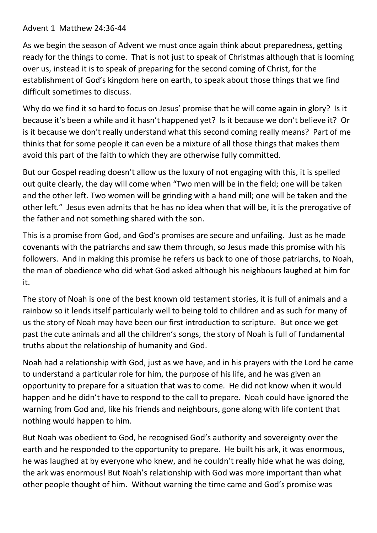## Advent 1 Matthew 24:36-44

As we begin the season of Advent we must once again think about preparedness, getting ready for the things to come. That is not just to speak of Christmas although that is looming over us, instead it is to speak of preparing for the second coming of Christ, for the establishment of God's kingdom here on earth, to speak about those things that we find difficult sometimes to discuss.

Why do we find it so hard to focus on Jesus' promise that he will come again in glory? Is it because it's been a while and it hasn't happened yet? Is it because we don't believe it? Or is it because we don't really understand what this second coming really means? Part of me thinks that for some people it can even be a mixture of all those things that makes them avoid this part of the faith to which they are otherwise fully committed.

But our Gospel reading doesn't allow us the luxury of not engaging with this, it is spelled out quite clearly, the day will come when "Two men will be in the field; one will be taken and the other left. Two women will be grinding with a hand mill; one will be taken and the other left." Jesus even admits that he has no idea when that will be, it is the prerogative of the father and not something shared with the son.

This is a promise from God, and God's promises are secure and unfailing. Just as he made covenants with the patriarchs and saw them through, so Jesus made this promise with his followers. And in making this promise he refers us back to one of those patriarchs, to Noah, the man of obedience who did what God asked although his neighbours laughed at him for it.

The story of Noah is one of the best known old testament stories, it is full of animals and a rainbow so it lends itself particularly well to being told to children and as such for many of us the story of Noah may have been our first introduction to scripture. But once we get past the cute animals and all the children's songs, the story of Noah is full of fundamental truths about the relationship of humanity and God.

Noah had a relationship with God, just as we have, and in his prayers with the Lord he came to understand a particular role for him, the purpose of his life, and he was given an opportunity to prepare for a situation that was to come. He did not know when it would happen and he didn't have to respond to the call to prepare. Noah could have ignored the warning from God and, like his friends and neighbours, gone along with life content that nothing would happen to him.

But Noah was obedient to God, he recognised God's authority and sovereignty over the earth and he responded to the opportunity to prepare. He built his ark, it was enormous, he was laughed at by everyone who knew, and he couldn't really hide what he was doing, the ark was enormous! But Noah's relationship with God was more important than what other people thought of him. Without warning the time came and God's promise was